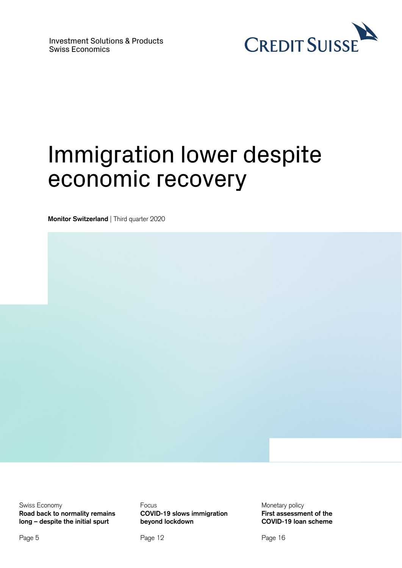

# Immigration lower despite economic recovery

**Monitor Switzerland** | Third quarter 2020

Swiss Economy **Road back to normality remains long – despite the initial spurt** 

Focus **COVID-19 slows immigration beyond lockdown** 

Page 12

Monetary policy **First assessment of the COVID-19 loan scheme** 

Page 16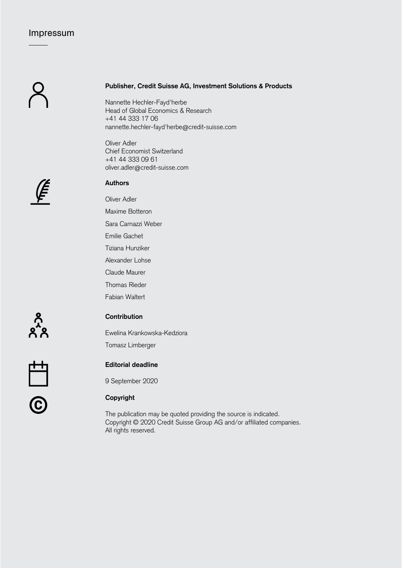# Impressum

## **Publisher, Credit Suisse AG, Investment Solutions & Products**

Nannette Hechler-Fayd'herbe Head of Global Economics & Research +41 44 333 17 06 nannette.hechler-fayd'herbe@credit-suisse.com

Oliver Adler Chief Economist Switzerland +41 44 333 09 61 oliver.adler@credit-suisse.com



## **Authors**

Oliver Adler

Maxime Botteron

Sara Carnazzi Weber

Emilie Gachet

Tiziana Hunziker

Alexander Lohse

Claude Maurer

Thomas Rieder

Fabian Waltert

 $\sum_{\substack{0 \leq x \leq 1}}^{\infty}$ 

# **Contribution**

Ewelina Krankowska-Kedziora

Tomasz Limberger

# **Editorial deadline**

9 September 2020

# © **Copyright**

The publication may be quoted providing the source is indicated. Copyright © 2020 Credit Suisse Group AG and/or affiliated companies. All rights reserved.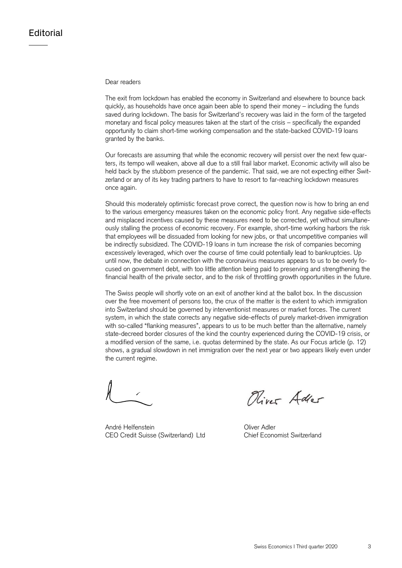## Dear readers

The exit from lockdown has enabled the economy in Switzerland and elsewhere to bounce back quickly, as households have once again been able to spend their money – including the funds saved during lockdown. The basis for Switzerland's recovery was laid in the form of the targeted monetary and fiscal policy measures taken at the start of the crisis – specifically the expanded opportunity to claim short-time working compensation and the state-backed COVID-19 loans granted by the banks.

Our forecasts are assuming that while the economic recovery will persist over the next few quarters, its tempo will weaken, above all due to a still frail labor market. Economic activity will also be held back by the stubborn presence of the pandemic. That said, we are not expecting either Switzerland or any of its key trading partners to have to resort to far-reaching lockdown measures once again.

Should this moderately optimistic forecast prove correct, the question now is how to bring an end to the various emergency measures taken on the economic policy front. Any negative side-effects and misplaced incentives caused by these measures need to be corrected, yet without simultaneously stalling the process of economic recovery. For example, short-time working harbors the risk that employees will be dissuaded from looking for new jobs, or that uncompetitive companies will be indirectly subsidized. The COVID-19 loans in turn increase the risk of companies becoming excessively leveraged, which over the course of time could potentially lead to bankruptcies. Up until now, the debate in connection with the coronavirus measures appears to us to be overly focused on government debt, with too little attention being paid to preserving and strengthening the financial health of the private sector, and to the risk of throttling growth opportunities in the future.

The Swiss people will shortly vote on an exit of another kind at the ballot box. In the discussion over the free movement of persons too, the crux of the matter is the extent to which immigration into Switzerland should be governed by interventionist measures or market forces. The current system, in which the state corrects any negative side-effects of purely market-driven immigration with so-called "flanking measures", appears to us to be much better than the alternative, namely state-decreed border closures of the kind the country experienced during the COVID-19 crisis, or a modified version of the same, i.e. quotas determined by the state. As our Focus article (p. 12) shows, a gradual slowdown in net immigration over the next year or two appears likely even under the current regime.

André Helfenstein Oliver Adler CEO Credit Suisse (Switzerland) Ltd Chief Economist Switzerland

River Adler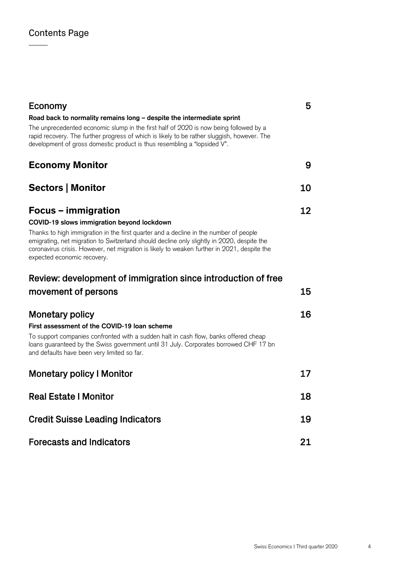| Economy                                                                                                                                                                                                                                                                                                           | 5  |
|-------------------------------------------------------------------------------------------------------------------------------------------------------------------------------------------------------------------------------------------------------------------------------------------------------------------|----|
| Road back to normality remains long - despite the intermediate sprint                                                                                                                                                                                                                                             |    |
| The unprecedented economic slump in the first half of 2020 is now being followed by a<br>rapid recovery. The further progress of which is likely to be rather sluggish, however. The<br>development of gross domestic product is thus resembling a "lopsided V".                                                  |    |
| <b>Economy Monitor</b>                                                                                                                                                                                                                                                                                            | 9  |
| <b>Sectors   Monitor</b>                                                                                                                                                                                                                                                                                          | 10 |
| Focus – immigration                                                                                                                                                                                                                                                                                               | 12 |
| COVID-19 slows immigration beyond lockdown                                                                                                                                                                                                                                                                        |    |
| Thanks to high immigration in the first quarter and a decline in the number of people<br>emigrating, net migration to Switzerland should decline only slightly in 2020, despite the<br>coronavirus crisis. However, net migration is likely to weaken further in 2021, despite the<br>expected economic recovery. |    |
| Review: development of immigration since introduction of free                                                                                                                                                                                                                                                     |    |
| movement of persons                                                                                                                                                                                                                                                                                               | 15 |
| <b>Monetary policy</b>                                                                                                                                                                                                                                                                                            | 16 |
| First assessment of the COVID-19 loan scheme                                                                                                                                                                                                                                                                      |    |
| To support companies confronted with a sudden halt in cash flow, banks offered cheap<br>loans guaranteed by the Swiss government until 31 July. Corporates borrowed CHF 17 bn<br>and defaults have been very limited so far.                                                                                      |    |
| <b>Monetary policy I Monitor</b>                                                                                                                                                                                                                                                                                  | 17 |
| <b>Real Estate I Monitor</b>                                                                                                                                                                                                                                                                                      | 18 |
| <b>Credit Suisse Leading Indicators</b>                                                                                                                                                                                                                                                                           | 19 |
| <b>Forecasts and Indicators</b>                                                                                                                                                                                                                                                                                   | 21 |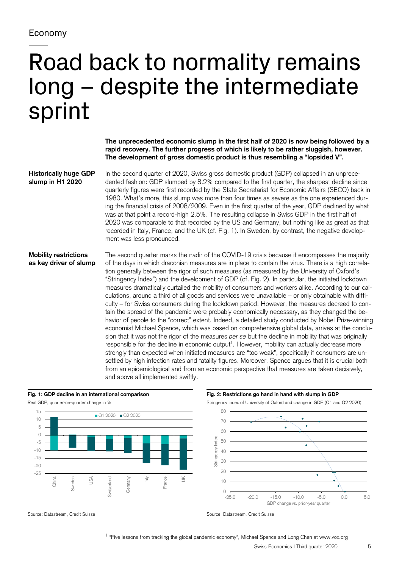# Road back to normality remains long – despite the intermediate sprint

**The unprecedented economic slump in the first half of 2020 is now being followed by a rapid recovery. The further progress of which is likely to be rather sluggish, however. The development of gross domestic product is thus resembling a "lopsided V".** 

**Historically huge GDP slump in H1 2020** 

In the second quarter of 2020, Swiss gross domestic product (GDP) collapsed in an unprecedented fashion: GDP slumped by 8.2% compared to the first quarter, the sharpest decline since quarterly figures were first recorded by the State Secretariat for Economic Affairs (SECO) back in 1980. What's more, this slump was more than four times as severe as the one experienced during the financial crisis of 2008/2009. Even in the first quarter of the year, GDP declined by what was at that point a record-high 2.5%. The resulting collapse in Swiss GDP in the first half of 2020 was comparable to that recorded by the US and Germany, but nothing like as great as that recorded in Italy, France, and the UK (cf. Fig. 1). In Sweden, by contrast, the negative development was less pronounced.

# **Mobility restrictions as key driver of slump**

The second quarter marks the nadir of the COVID-19 crisis because it encompasses the majority of the days in which draconian measures are in place to contain the virus. There is a high correlation generally between the rigor of such measures (as measured by the University of Oxford's "Stringency Index") and the development of GDP (cf. Fig. 2). In particular, the initiated lockdown measures dramatically curtailed the mobility of consumers and workers alike. According to our calculations, around a third of all goods and services were unavailable – or only obtainable with difficulty – for Swiss consumers during the lockdown period. However, the measures decreed to contain the spread of the pandemic were probably economically necessary, as they changed the behavior of people to the "correct" extent. Indeed, a detailed study conducted by Nobel Prize-winning economist Michael Spence, which was based on comprehensive global data, arrives at the conclusion that it was not the rigor of the measures *per se* but the decline in mobility that was originally responsible for the decline in economic output<sup>1</sup>. However, mobility can actually decrease more strongly than expected when initiated measures are "too weak", specifically if consumers are unsettled by high infection rates and fatality figures. Moreover, Spence argues that it is crucial both from an epidemiological and from an economic perspective that measures are taken decisively, and above all implemented swiftly.



**Fig. 1: GDP decline in an international comparison Fig. 2: Restrictions go hand in hand with slump in GDP** 



Source: Datastream, Credit Suisse Source: Datastream, Credit Suisse Source: Datastream, Credit Suisse

 $1$  "Five lessons from tracking the global pandemic economy", Michael Spence and Long Chen at www.vox.org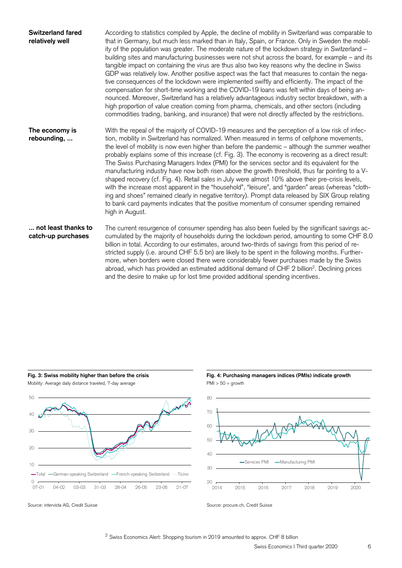| <b>Switzerland fared</b><br>relatively well | According to statistics compiled by Apple, the decline of mobility in Switzerland was comparable to<br>that in Germany, but much less marked than in Italy, Spain, or France. Only in Sweden the mobil-<br>ity of the population was greater. The moderate nature of the lockdown strategy in Switzerland -<br>building sites and manufacturing businesses were not shut across the board, for example - and its<br>tangible impact on containing the virus are thus also two key reasons why the decline in Swiss<br>GDP was relatively low. Another positive aspect was the fact that measures to contain the nega-<br>tive consequences of the lockdown were implemented swiftly and efficiently. The impact of the<br>compensation for short-time working and the COVID-19 loans was felt within days of being an-<br>nounced. Moreover, Switzerland has a relatively advantageous industry sector breakdown, with a<br>high proportion of value creation coming from pharma, chemicals, and other sectors (including<br>commodities trading, banking, and insurance) that were not directly affected by the restrictions. |
|---------------------------------------------|--------------------------------------------------------------------------------------------------------------------------------------------------------------------------------------------------------------------------------------------------------------------------------------------------------------------------------------------------------------------------------------------------------------------------------------------------------------------------------------------------------------------------------------------------------------------------------------------------------------------------------------------------------------------------------------------------------------------------------------------------------------------------------------------------------------------------------------------------------------------------------------------------------------------------------------------------------------------------------------------------------------------------------------------------------------------------------------------------------------------------------|
| The economy is<br>rebounding,               | With the repeal of the majority of COVID-19 measures and the perception of a low risk of infec-<br>tion, mobility in Switzerland has normalized. When measured in terms of cellphone movements,<br>the level of mobility is now even higher than before the pandemic - although the summer weather<br>probably explains some of this increase (cf. Fig. 3). The economy is recovering as a direct result:<br>The Swiss Purchasing Managers Index (PMI) for the services sector and its equivalent for the<br>manufacturing industry have now both risen above the growth threshold, thus far pointing to a V-<br>shaped recovery (cf. Fig. 4). Retail sales in July were almost 10% above their pre-crisis levels,<br>with the increase most apparent in the "household", "leisure", and "garden" areas (whereas "cloth-<br>ing and shoes" remained clearly in negative territory). Prompt data released by SIX Group relating<br>to bank card payments indicates that the positive momentum of consumer spending remained<br>high in August.                                                                                  |
| not least thanks to<br>catch-up purchases   | The current resurgence of consumer spending has also been fueled by the significant savings ac-<br>cumulated by the majority of households during the lockdown period, amounting to some CHF 8.0<br>billion in total. According to our estimates, around two-thirds of savings from this period of re-<br>stricted supply (i.e. around CHF 5.5 bn) are likely to be spent in the following months. Further-<br>more, when borders were closed there were considerably fewer purchases made by the Swiss<br>abroad, which has provided an estimated additional demand of CHF 2 billion <sup>2</sup> . Declining prices<br>and the desire to make up for lost time provided additional spending incentives.                                                                                                                                                                                                                                                                                                                                                                                                                      |





2014 2015 2016 2017 2018 2019 2020

 $\begin{array}{c}\n20 \\
2014\n\end{array}$ 

30

**Fig. 3: Swiss mobility higher than before the crisis Fig. 4: Purchasing managers indices (PMIs) indicate growth**

Source: intervista AG, Credit Suisse Source: procure.ch, Credit Suisse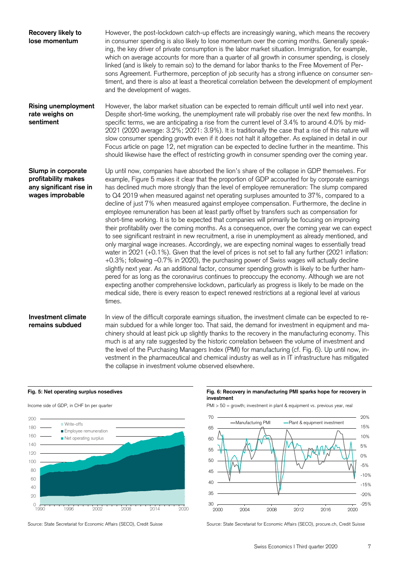| Recovery likely to<br>lose momentum                                                      | However, the post-lockdown catch-up effects are increasingly waning, which means the recovery<br>in consumer spending is also likely to lose momentum over the coming months. Generally speak-<br>ing, the key driver of private consumption is the labor market situation. Immigration, for example,<br>which on average accounts for more than a quarter of all growth in consumer spending, is closely<br>linked (and is likely to remain so) to the demand for labor thanks to the Free Movement of Per-<br>sons Agreement. Furthermore, perception of job security has a strong influence on consumer sen-<br>timent, and there is also at least a theoretical correlation between the development of employment<br>and the development of wages.                                                                                                                                                                                                                                                                                                                                                                                                                                                                                                                                                                                                                                                                                                                                                                                                                                                                               |
|------------------------------------------------------------------------------------------|--------------------------------------------------------------------------------------------------------------------------------------------------------------------------------------------------------------------------------------------------------------------------------------------------------------------------------------------------------------------------------------------------------------------------------------------------------------------------------------------------------------------------------------------------------------------------------------------------------------------------------------------------------------------------------------------------------------------------------------------------------------------------------------------------------------------------------------------------------------------------------------------------------------------------------------------------------------------------------------------------------------------------------------------------------------------------------------------------------------------------------------------------------------------------------------------------------------------------------------------------------------------------------------------------------------------------------------------------------------------------------------------------------------------------------------------------------------------------------------------------------------------------------------------------------------------------------------------------------------------------------------|
| <b>Rising unemployment</b><br>rate weighs on<br>sentiment                                | However, the labor market situation can be expected to remain difficult until well into next year.<br>Despite short-time working, the unemployment rate will probably rise over the next few months. In<br>specific terms, we are anticipating a rise from the current level of 3.4% to around 4.0% by mid-<br>2021 (2020 average: 3.2%; 2021: 3.9%). It is traditionally the case that a rise of this nature will<br>slow consumer spending growth even if it does not halt it altogether. As explained in detail in our<br>Focus article on page 12, net migration can be expected to decline further in the meantime. This<br>should likewise have the effect of restricting growth in consumer spending over the coming year.                                                                                                                                                                                                                                                                                                                                                                                                                                                                                                                                                                                                                                                                                                                                                                                                                                                                                                    |
| Slump in corporate<br>profitability makes<br>any significant rise in<br>wages improbable | Up until now, companies have absorbed the lion's share of the collapse in GDP themselves. For<br>example, Figure 5 makes it clear that the proportion of GDP accounted for by corporate earnings<br>has declined much more strongly than the level of employee remuneration: The slump compared<br>to Q4 2019 when measured against net operating surpluses amounted to 37%, compared to a<br>decline of just 7% when measured against employee compensation. Furthermore, the decline in<br>employee remuneration has been at least partly offset by transfers such as compensation for<br>short-time working. It is to be expected that companies will primarily be focusing on improving<br>their profitability over the coming months. As a consequence, over the coming year we can expect<br>to see significant restraint in new recruitment, a rise in unemployment as already mentioned, and<br>only marginal wage increases. Accordingly, we are expecting nominal wages to essentially tread<br>water in 2021 (+0.1%). Given that the level of prices is not set to fall any further (2021 inflation:<br>+0.3%; following -0.7% in 2020), the purchasing power of Swiss wages will actually decline<br>slightly next year. As an additional factor, consumer spending growth is likely to be further ham-<br>pered for as long as the coronavirus continues to preoccupy the economy. Although we are not<br>expecting another comprehensive lockdown, particularly as progress is likely to be made on the<br>medical side, there is every reason to expect renewed restrictions at a regional level at various<br>times. |
| <b>Investment climate</b><br>remains subdued                                             | In view of the difficult corporate earnings situation, the investment climate can be expected to re-<br>main subdued for a while longer too. That said, the demand for investment in equipment and ma-<br>chinery should at least pick up slightly thanks to the recovery in the manufacturing economy. This<br>much is at any rate suggested by the historic correlation between the volume of investment and<br>the level of the Purchasing Managers Index (PMI) for manufacturing (cf. Fig. 6). Up until now, in-                                                                                                                                                                                                                                                                                                                                                                                                                                                                                                                                                                                                                                                                                                                                                                                                                                                                                                                                                                                                                                                                                                                 |

the collapse in investment volume observed elsewhere.



## Fig. 5: Net operating surplus nosedives **Fig. 6: Recovery in manufacturing PMI sparks hope for recovery in Fig. 6: Recovery in manufacturing PMI sparks hope for recovery in investment**

Income side of GDP, in CHF bn per quarter **PMI > 50** = growth; investment in plant & equipment vs. previous year, real

vestment in the pharmaceutical and chemical industry as well as in IT infrastructure has mitigated



Source: State Secretariat for Economic Affairs (SECO), Credit Suisse Source: State Secretariat for Economic Affairs (SECO), procure.ch, Credit Suisse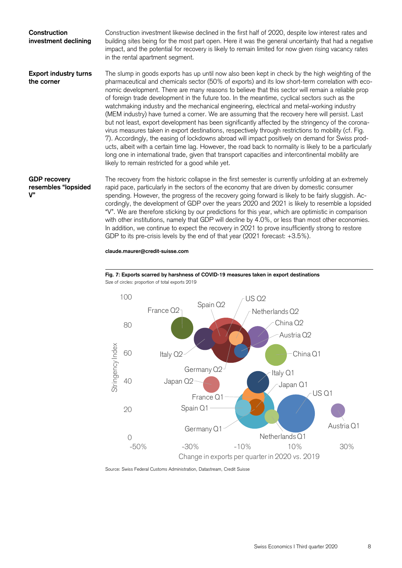| Construction<br>investment declining                | Construction investment likewise declined in the first half of 2020, despite low interest rates and<br>building sites being for the most part open. Here it was the general uncertainty that had a negative<br>impact, and the potential for recovery is likely to remain limited for now given rising vacancy rates<br>in the rental apartment segment.                                                                                                                                                                                                                                                                                                                                                                                                                                                                                                                                                                                                                                                                                                                                                                                                                                             |
|-----------------------------------------------------|------------------------------------------------------------------------------------------------------------------------------------------------------------------------------------------------------------------------------------------------------------------------------------------------------------------------------------------------------------------------------------------------------------------------------------------------------------------------------------------------------------------------------------------------------------------------------------------------------------------------------------------------------------------------------------------------------------------------------------------------------------------------------------------------------------------------------------------------------------------------------------------------------------------------------------------------------------------------------------------------------------------------------------------------------------------------------------------------------------------------------------------------------------------------------------------------------|
| <b>Export industry turns</b><br>the corner          | The slump in goods exports has up until now also been kept in check by the high weighting of the<br>pharmaceutical and chemicals sector (50% of exports) and its low short-term correlation with eco-<br>nomic development. There are many reasons to believe that this sector will remain a reliable prop<br>of foreign trade development in the future too. In the meantime, cyclical sectors such as the<br>watchmaking industry and the mechanical engineering, electrical and metal-working industry<br>(MEM industry) have turned a corner. We are assuming that the recovery here will persist. Last<br>but not least, export development has been significantly affected by the stringency of the corona-<br>virus measures taken in export destinations, respectively through restrictions to mobility (cf. Fig.<br>7). Accordingly, the easing of lockdowns abroad will impact positively on demand for Swiss prod-<br>ucts, albeit with a certain time lag. However, the road back to normality is likely to be a particularly<br>long one in international trade, given that transport capacities and intercontinental mobility are<br>likely to remain restricted for a good while yet. |
| <b>GDP recovery</b><br>resembles "lopsided<br>$V$ " | The recovery from the historic collapse in the first semester is currently unfolding at an extremely<br>rapid pace, particularly in the sectors of the economy that are driven by domestic consumer<br>spending. However, the progress of the recovery going forward is likely to be fairly sluggish. Ac-<br>cordingly, the development of GDP over the years 2020 and 2021 is likely to resemble a lopsided<br>"V". We are therefore sticking by our predictions for this year, which are optimistic in comparison                                                                                                                                                                                                                                                                                                                                                                                                                                                                                                                                                                                                                                                                                  |

**claude.maurer@credit-suisse.com** 



GDP to its pre-crisis levels by the end of that year (2021 forecast: +3.5%).



with other institutions, namely that GDP will decline by 4.0%, or less than most other economies. In addition, we continue to expect the recovery in 2021 to prove insufficiently strong to restore

Source: Swiss Federal Customs Administration, Datastream, Credit Suisse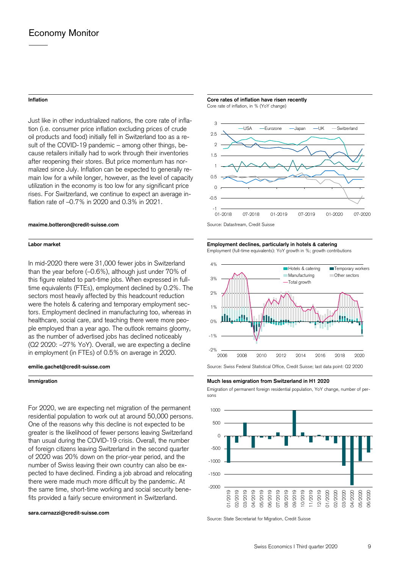Just like in other industrialized nations, the core rate of inflation (i.e. consumer price inflation excluding prices of crude oil products and food) initially fell in Switzerland too as a result of the COVID-19 pandemic – among other things, because retailers initially had to work through their inventories after reopening their stores. But price momentum has normalized since July. Inflation can be expected to generally remain low for a while longer, however, as the level of capacity utilization in the economy is too low for any significant price rises. For Switzerland, we continue to expect an average inflation rate of –0.7% in 2020 and 0.3% in 2021.

In mid-2020 there were 31,000 fewer jobs in Switzerland than the year before (–0.6%), although just under 70% of this figure related to part-time jobs. When expressed in fulltime equivalents (FTEs), employment declined by 0.2%. The sectors most heavily affected by this headcount reduction were the hotels & catering and temporary employment sectors. Employment declined in manufacturing too, whereas in healthcare, social care, and teaching there were more people employed than a year ago. The outlook remains gloomy, as the number of advertised jobs has declined noticeably (Q2 2020: –27% YoY). Overall, we are expecting a decline in employment (in FTEs) of 0.5% on average in 2020.

For 2020, we are expecting net migration of the permanent residential population to work out at around 50,000 persons. One of the reasons why this decline is not expected to be greater is the likelihood of fewer persons leaving Switzerland than usual during the COVID-19 crisis. Overall, the number of foreign citizens leaving Switzerland in the second quarter of 2020 was 20% down on the prior-year period, and the number of Swiss leaving their own country can also be expected to have declined. Finding a job abroad and relocating there were made much more difficult by the pandemic. At the same time, short-time working and social security benefits provided a fairly secure environment in Switzerland.

#### **sara.carnazzi@credit-suisse.com**

**Inflation Inflation Core rates of inflation have risen recently Core rates of inflation have risen recently** Core rate of inflation, in % (YoY change)



## **Labor market Employment declines, particularly in hotels & catering**

Employment (full-time equivalents): YoY growth in %; growth contributions



**Immigration Much less emigration from Switzerland in H1 2020** 

Emigration of permanent foreign residential population, YoY change, number of persons



Source: State Secretariat for Migration, Credit Suisse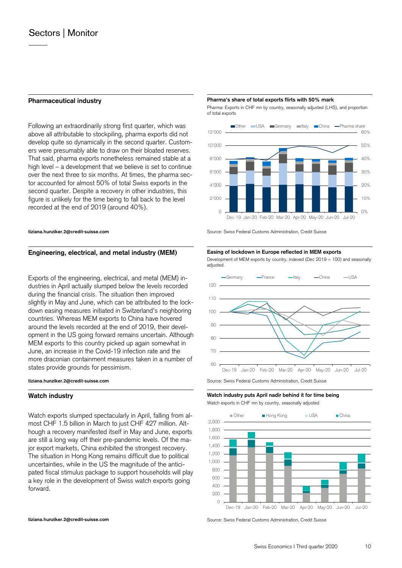Following an extraordinarily strong first quarter, which was above all attributable to stockpiling, pharma exports did not develop quite so dynamically in the second quarter. Customers were presumably able to draw on their bloated reserves. That said, pharma exports nonetheless remained stable at a high level – a development that we believe is set to continue over the next three to six months. At times, the pharma sector accounted for almost 50% of total Swiss exports in the second quarter. Despite a recovery in other industries, this figure is unlikely for the time being to fall back to the level recorded at the end of 2019 (around 40%).

## Engineering, electrical, and metal industry (MEM) Easing of lockdown in Europe reflected in MEM exports

Exports of the engineering, electrical, and metal (MEM) industries in April actually slumped below the levels recorded during the financial crisis. The situation then improved slightly in May and June, which can be attributed to the lockdown easing measures initiated in Switzerland's neighboring countries. Whereas MEM exports to China have hovered around the levels recorded at the end of 2019, their development in the US going forward remains uncertain. Although MEM exports to this country picked up again somewhat in June, an increase in the Covid-19 infection rate and the more draconian containment measures taken in a number of states provide grounds for pessimism.

Watch exports slumped spectacularly in April, falling from almost CHF 1.5 billion in March to just CHF 427 million. Although a recovery manifested itself in May and June, exports are still a long way off their pre-pandemic levels. Of the major export markets, China exhibited the strongest recovery. The situation in Hong Kong remains difficult due to political uncertainties, while in the US the magnitude of the anticipated fiscal stimulus package to support households will play a key role in the development of Swiss watch exports going forward.

## **Pharmaceutical industry example 3 and 2 million Pharmateutical industry exports flirts with 50% mark**

 Pharma: Exports in CHF mn by country, seasonally adjusted (LHS), and proportion of total exports



**tiziana.hunziker.2@credit-suisse.com Source: Swiss Federal Customs Administration, Credit Suisse** 

 Development of MEM exports by country, indexed (Dec 2019 = 100) and seasonally adjusted.



**Watch industry Watch industry puts April nadir behind it for time being**  Watch exports in CHF mn by country, seasonally adjusted



**tiziana.hunziker.2@credit-suisse.com Source: Swiss Federal Customs Administration, Credit Suisse** Suisse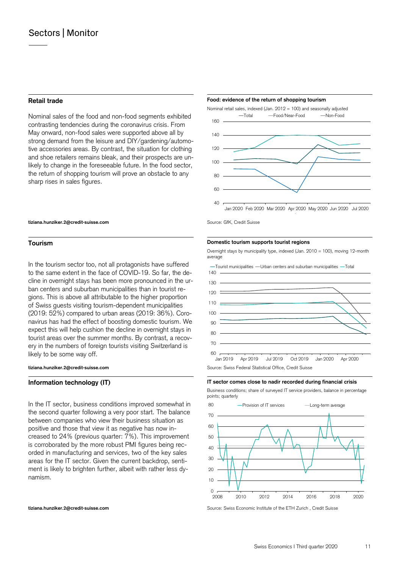Nominal sales of the food and non-food segments exhibited contrasting tendencies during the coronavirus crisis. From May onward, non-food sales were supported above all by strong demand from the leisure and DIY/gardening/automotive accessories areas. By contrast, the situation for clothing and shoe retailers remains bleak, and their prospects are unlikely to change in the foreseeable future. In the food sector, the return of shopping tourism will prove an obstacle to any sharp rises in sales figures.

## **Retail trade Food: evidence of the return of shopping tourism**  Food: evidence of the return of shopping tourism



### **tiziana.hunziker.2@credit-suisse.com Source: GfK, Credit Suisse** Suiter Suisse

In the tourism sector too, not all protagonists have suffered to the same extent in the face of COVID-19. So far, the decline in overnight stays has been more pronounced in the urban centers and suburban municipalities than in tourist regions. This is above all attributable to the higher proportion of Swiss guests visiting tourism-dependent municipalities (2019: 52%) compared to urban areas (2019: 36%). Coronavirus has had the effect of boosting domestic tourism. We expect this will help cushion the decline in overnight stays in tourist areas over the summer months. By contrast, a recovery in the numbers of foreign tourists visiting Switzerland is likely to be some way off.

In the IT sector, business conditions improved somewhat in the second quarter following a very poor start. The balance between companies who view their business situation as positive and those that view it as negative has now increased to 24% (previous quarter: 7%). This improvement is corroborated by the more robust PMI figures being recorded in manufacturing and services, two of the key sales areas for the IT sector. Given the current backdrop, sentiment is likely to brighten further, albeit with rather less dynamism.

#### **Tourism Domestic tourism supports tourist regions**

 Overnight stays by municipality type, indexed (Jan. 2010 = 100), moving 12-month average





### **Information technology (IT) IT sector comes close to nadir recorded during financial crisis**

 Business conditions; share of surveyed IT service providers, balance in percentage points; quarterly



**tiziana.hunziker.2@credit-suisse.com** Source: Swiss Economic Institute of the ETH Zurich , Credit Suisse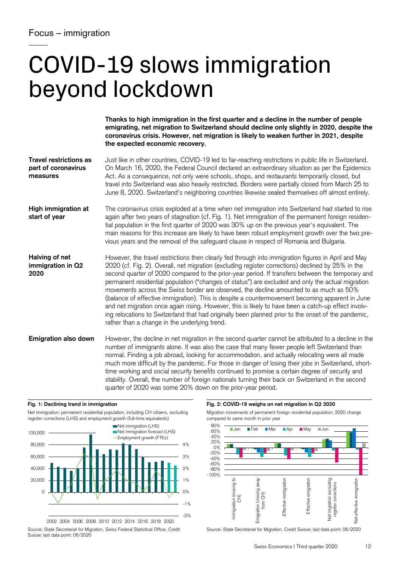# COVID-19 slows immigration beyond lockdown

Just like in other countries, COVID-19 led to far-reaching restrictions in public life in Switzerland. On March 16, 2020, the Federal Council declared an extraordinary situation as per the Epidemics Act. As a consequence, not only were schools, shops, and restaurants temporarily closed, but travel into Switzerland was also heavily restricted. Borders were partially closed from March 25 to June 8, 2020. Switzerland's neighboring countries likewise sealed themselves off almost entirely. **Travel restrictions as part of coronavirus measures** 

The coronavirus crisis exploded at a time when net immigration into Switzerland had started to rise again after two years of stagnation (cf. Fig. 1). Net immigration of the permanent foreign residential population in the first quarter of 2020 was 30% up on the previous year's equivalent. The main reasons for this increase are likely to have been robust employment growth over the two previous years and the removal of the safeguard clause in respect of Romania and Bulgaria. **High immigration at start of year** 

However, the travel restrictions then clearly fed through into immigration figures in April and May 2020 (cf. Fig. 2). Overall, net migration (excluding register corrections) declined by 25% in the second quarter of 2020 compared to the prior-year period. If transfers between the temporary and permanent residential population ("changes of status") are excluded and only the actual migration movements across the Swiss border are observed, the decline amounted to as much as 50% (balance of effective immigration). This is despite a countermovement becoming apparent in June and net migration once again rising. However, this is likely to have been a catch-up effect involving relocations to Switzerland that had originally been planned prior to the onset of the pandemic, rather than a change in the underlying trend. **Halving of net immigration in Q2 2020** 

However, the decline in net migration in the second quarter cannot be attributed to a decline in the number of immigrants alone. It was also the case that many fewer people left Switzerland than normal. Finding a job abroad, looking for accommodation, and actually relocating were all made much more difficult by the pandemic. For those in danger of losing their jobs in Switzerland, shorttime working and social security benefits continued to promise a certain degree of security and stability. Overall, the number of foreign nationals turning their back on Switzerland in the second quarter of 2020 was some 20% down on the prior-year period. **Emigration also down** 



2002 2004 2006 2008 2010 2012 2014 2016 2018 2020

Source: State Secretariat for Migration, Swiss Federal Statistical Office, Credit Suisse; last data point: 06/2020

## **Fig. 1: Declining trend in immigration Fig. 2: COVID-19 weighs on net migration in Q2 2020**

 Migration movements of permanent foreign residential population; 2020 change compared to same month in prior year



Source: State Secretariat for Migration, Credit Suisse; last data point: 06/2020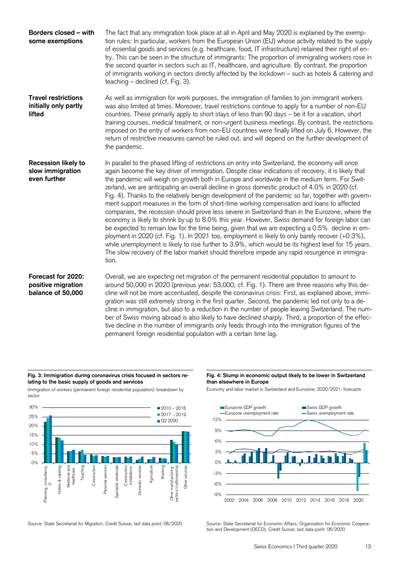| Borders closed - with<br>some exemptions                       | The fact that any immigration took place at all in April and May 2020 is explained by the exemp-<br>tion rules: In particular, workers from the European Union (EU) whose activity related to the supply<br>of essential goods and services (e.g. healthcare, food, IT infrastructure) retained their right of en-<br>try. This can be seen in the structure of immigrants: The proportion of immigrating workers rose in<br>the second quarter in sectors such as IT, healthcare, and agriculture. By contrast, the proportion<br>of immigrants working in sectors directly affected by the lockdown - such as hotels & catering and<br>teaching – declined (cf. Fig. 3).                                                                                                                                                                                                                                                                                                                                                                                                                                                                                                                                                                         |
|----------------------------------------------------------------|----------------------------------------------------------------------------------------------------------------------------------------------------------------------------------------------------------------------------------------------------------------------------------------------------------------------------------------------------------------------------------------------------------------------------------------------------------------------------------------------------------------------------------------------------------------------------------------------------------------------------------------------------------------------------------------------------------------------------------------------------------------------------------------------------------------------------------------------------------------------------------------------------------------------------------------------------------------------------------------------------------------------------------------------------------------------------------------------------------------------------------------------------------------------------------------------------------------------------------------------------|
| <b>Travel restrictions</b><br>initially only partly<br>lifted  | As well as immigration for work purposes, the immigration of families to join immigrant workers<br>was also limited at times. Moreover, travel restrictions continue to apply for a number of non-EU<br>countries. These primarily apply to short stays of less than 90 days - be it for a vacation, short<br>training courses, medical treatment, or non-urgent business meetings. By contrast, the restrictions<br>imposed on the entry of workers from non-EU countries were finally lifted on July 6. However, the<br>return of restrictive measures cannot be ruled out, and will depend on the further development of<br>the pandemic.                                                                                                                                                                                                                                                                                                                                                                                                                                                                                                                                                                                                       |
| <b>Recession likely to</b><br>slow immigration<br>even further | In parallel to the phased lifting of restrictions on entry into Switzerland, the economy will once<br>again become the key driver of immigration. Despite clear indications of recovery, it is likely that<br>the pandemic will weigh on growth both in Europe and worldwide in the medium term. For Swit-<br>zerland, we are anticipating an overall decline in gross domestic product of 4.0% in 2020 (cf.<br>Fig. 4). Thanks to the relatively benign development of the pandemic so far, together with govern-<br>ment support measures in the form of short-time working compensation and loans to affected<br>companies, the recession should prove less severe in Switzerland than in the Eurozone, where the<br>economy is likely to shrink by up to 8.0% this year. However, Swiss demand for foreign labor can<br>be expected to remain low for the time being, given that we are expecting a 0.5% decline in em-<br>ployment in 2020 (cf. Fig. 1). In 2021 too, employment is likely to only barely recover (+0.3%),<br>while unemployment is likely to rise further to 3.9%, which would be its highest level for 15 years.<br>The slow recovery of the labor market should therefore impede any rapid resurgence in immigra-<br>tion. |
| Forecast for 2020:<br>positive migration<br>balance of 50,000  | Overall, we are expecting net migration of the permanent residential population to amount to<br>around 50,000 in 2020 (previous year: 53,000, cf. Fig. 1). There are three reasons why this de-<br>cline will not be more accentuated, despite the coronavirus crisis: First, as explained above, immi-<br>gration was still extremely strong in the first quarter. Second, the pandemic led not only to a de-<br>cline in immigration, but also to a reduction in the number of people leaving Switzerland. The num-<br>ber of Swiss moving abroad is also likely to have declined sharply. Third, a proportion of the effec-<br>tive decline in the number of immigrants only feeds through into the immigration figures of the<br>permanent foreign residential population with a certain time lag.                                                                                                                                                                                                                                                                                                                                                                                                                                             |

## **Fig. 3: Immigration during coronavirus crisis focused in sectors relating to the basic supply of goods and services**

Immigration of workers (permanent foreign residential population): breakdown by sector



 **Fig. 4: Slump in economic output likely to be lower in Switzerland than elsewhere in Europe** 

Economy and labor market in Switzerland and Eurozone; 2020/2021: forecasts



Source: State Secretariat for Migration, Credit Suisse; last data point: 06/2020 Source: State Secretariat for Economic Affairs, Organisation for Economic Cooperation and Development (OECD), Credit Suisse; last data point: 06/2020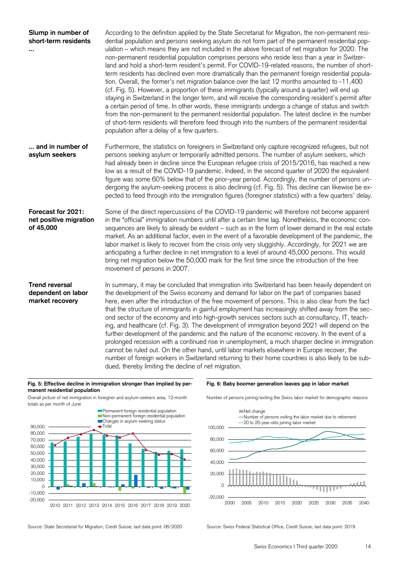| Slump in number of<br>short-term residents                     | According to the definition applied by the State Secretariat for Migration, the non-permanent resi-<br>dential population and persons seeking asylum do not form part of the permanent residential pop-<br>ulation – which means they are not included in the above forecast of net migration for 2020. The<br>non-permanent residential population comprises persons who reside less than a year in Switzer-<br>land and hold a short-term resident's permit. For COVID-19-related reasons, the number of short-<br>term residents has declined even more dramatically than the permanent foreign residential popula-<br>tion. Overall, the former's net migration balance over the last 12 months amounted to -11,400<br>(cf. Fig. 5). However, a proportion of these immigrants (typically around a quarter) will end up<br>staying in Switzerland in the longer term, and will receive the corresponding resident's permit after<br>a certain period of time. In other words, these immigrants undergo a change of status and switch<br>from the non-permanent to the permanent residential population. The latest decline in the number<br>of short-term residents will therefore feed through into the numbers of the permanent residential<br>population after a delay of a few quarters. |
|----------------------------------------------------------------|--------------------------------------------------------------------------------------------------------------------------------------------------------------------------------------------------------------------------------------------------------------------------------------------------------------------------------------------------------------------------------------------------------------------------------------------------------------------------------------------------------------------------------------------------------------------------------------------------------------------------------------------------------------------------------------------------------------------------------------------------------------------------------------------------------------------------------------------------------------------------------------------------------------------------------------------------------------------------------------------------------------------------------------------------------------------------------------------------------------------------------------------------------------------------------------------------------------------------------------------------------------------------------------------------|
| and in number of<br>asylum seekers                             | Furthermore, the statistics on foreigners in Switzerland only capture recognized refugees, but not<br>persons seeking asylum or temporarily admitted persons. The number of asylum seekers, which<br>had already been in decline since the European refugee crisis of 2015/2016, has reached a new<br>low as a result of the COVID-19 pandemic. Indeed, in the second quarter of 2020 the equivalent<br>figure was some 60% below that of the prior-year period. Accordingly, the number of persons un-<br>dergoing the asylum-seeking process is also declining (cf. Fig. 5). This decline can likewise be ex-<br>pected to feed through into the immigration figures (foreigner statistics) with a few quarters' delay.                                                                                                                                                                                                                                                                                                                                                                                                                                                                                                                                                                        |
| Forecast for 2021:<br>net positive migration<br>of 45,000      | Some of the direct repercussions of the COVID-19 pandemic will therefore not become apparent<br>in the "official" immigration numbers until after a certain time lag. Nonetheless, the economic con-<br>sequences are likely to already be evident - such as in the form of lower demand in the real estate<br>market. As an additional factor, even in the event of a favorable development of the pandemic, the<br>labor market is likely to recover from the crisis only very sluggishly. Accordingly, for 2021 we are<br>anticipating a further decline in net immigration to a level of around 45,000 persons. This would<br>bring net migration below the 50,000 mark for the first time since the introduction of the free<br>movement of persons in 2007.                                                                                                                                                                                                                                                                                                                                                                                                                                                                                                                                |
| <b>Trend reversal</b><br>dependent on labor<br>market recovery | In summary, it may be concluded that immigration into Switzerland has been heavily dependent on<br>the development of the Swiss economy and demand for labor on the part of companies based<br>here, even after the introduction of the free movement of persons. This is also clear from the fact<br>that the structure of immigrants in gainful employment has increasingly shifted away from the sec-<br>ond sector of the economy and into high-growth services sectors such as consultancy, IT, teach-<br>ing, and healthcare (cf. Fig. 3). The development of immigration beyond 2021 will depend on the<br>further development of the pandemic and the nature of the economic recovery. In the event of a<br>prolonged recession with a continued rise in unemployment, a much sharper decline in immigration<br>cannot be ruled out. On the other hand, until labor markets elsewhere in Europe recover, the<br>number of foreign workers in Switzerland returning to their home countries is also likely to be sub-<br>dued, thereby limiting the decline of net migration.                                                                                                                                                                                                             |

## **Fig. 5: Effective decline in immigration stronger than implied by permanent residential population**





## **Fig. 6: Baby boomer generation leaves gap in labor market**

 $-20,000$   $-2000$  $\Omega$ 20,000 40,000 60,000 80,000 100,000 Net change Number of persons exiting the labor market due to retirement 20 to 25-year-olds joining labor market

Number of persons joining/exiting the Swiss labor market for demographic reasons

Source: State Secretariat for Migration, Credit Suisse; last data point: 06/2020 Source: Swiss Federal Statistical Office, Credit Suisse; last data point: 2019

2000 2005 2010 2015 2020 2025 2030 2035 2040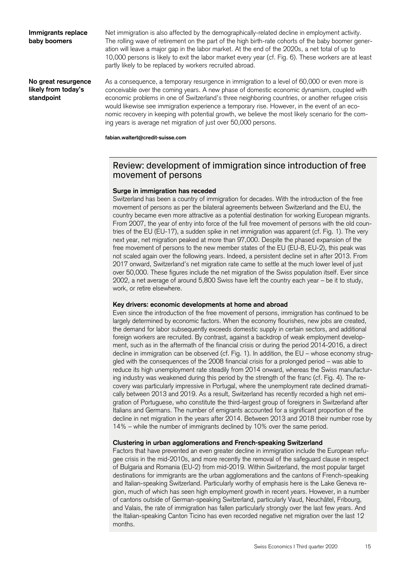## **Immigrants replace baby boomers**

Net immigration is also affected by the demographically-related decline in employment activity. The rolling wave of retirement on the part of the high birth-rate cohorts of the baby boomer generation will leave a major gap in the labor market. At the end of the 2020s, a net total of up to 10,000 persons is likely to exit the labor market every year (cf. Fig. 6). These workers are at least partly likely to be replaced by workers recruited abroad.

**No great resurgence likely from today's standpoint** 

As a consequence, a temporary resurgence in immigration to a level of 60,000 or even more is conceivable over the coming years. A new phase of domestic economic dynamism, coupled with economic problems in one of Switzerland's three neighboring countries, or another refugee crisis would likewise see immigration experience a temporary rise. However, in the event of an economic recovery in keeping with potential growth, we believe the most likely scenario for the coming years is average net migration of just over 50,000 persons.

**fabian.waltert@credit-suisse.com** 

# Review: development of immigration since introduction of free movement of persons

## **Surge in immigration has receded**

Switzerland has been a country of immigration for decades. With the introduction of the free movement of persons as per the bilateral agreements between Switzerland and the EU, the country became even more attractive as a potential destination for working European migrants. From 2007, the year of entry into force of the full free movement of persons with the old countries of the EU (EU-17), a sudden spike in net immigration was apparent (cf. Fig. 1). The very next year, net migration peaked at more than 97,000. Despite the phased expansion of the free movement of persons to the new member states of the EU (EU-8, EU-2), this peak was not scaled again over the following years. Indeed, a persistent decline set in after 2013. From 2017 onward, Switzerland's net migration rate came to settle at the much lower level of just over 50,000. These figures include the net migration of the Swiss population itself. Ever since 2002, a net average of around 5,800 Swiss have left the country each year – be it to study, work, or retire elsewhere.

## **Key drivers: economic developments at home and abroad**

Even since the introduction of the free movement of persons, immigration has continued to be largely determined by economic factors. When the economy flourishes, new jobs are created, the demand for labor subsequently exceeds domestic supply in certain sectors, and additional foreign workers are recruited. By contrast, against a backdrop of weak employment development, such as in the aftermath of the financial crisis or during the period 2014-2016, a direct decline in immigration can be observed (cf. Fig. 1). In addition, the EU – whose economy struggled with the consequences of the 2008 financial crisis for a prolonged period – was able to reduce its high unemployment rate steadily from 2014 onward, whereas the Swiss manufacturing industry was weakened during this period by the strength of the franc (cf. Fig. 4). The recovery was particularly impressive in Portugal, where the unemployment rate declined dramatically between 2013 and 2019. As a result, Switzerland has recently recorded a high net emigration of Portuguese, who constitute the third-largest group of foreigners in Switzerland after Italians and Germans. The number of emigrants accounted for a significant proportion of the decline in net migration in the years after 2014. Between 2013 and 2018 their number rose by 14% – while the number of immigrants declined by 10% over the same period.

## **Clustering in urban agglomerations and French-speaking Switzerland**

Factors that have prevented an even greater decline in immigration include the European refugee crisis in the mid-2010s, and more recently the removal of the safeguard clause in respect of Bulgaria and Romania (EU-2) from mid-2019. Within Switzerland, the most popular target destinations for immigrants are the urban agglomerations and the cantons of French-speaking and Italian-speaking Switzerland. Particularly worthy of emphasis here is the Lake Geneva region, much of which has seen high employment growth in recent years. However, in a number of cantons outside of German-speaking Switzerland, particularly Vaud, Neuchâtel, Fribourg, and Valais, the rate of immigration has fallen particularly strongly over the last few years. And the Italian-speaking Canton Ticino has even recorded negative net migration over the last 12 months.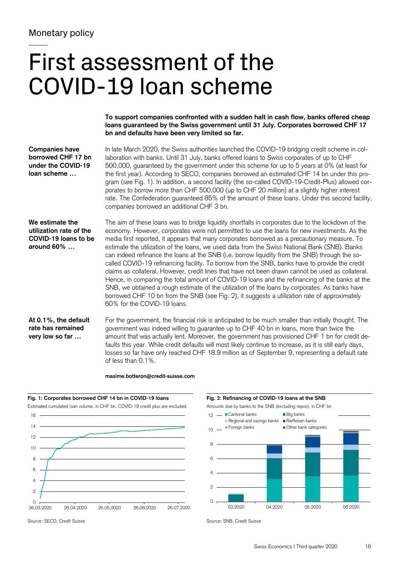# First assessment of the COVID-19 loan scheme

**To support companies confronted with a sudden halt in cash flow, banks offered cheap loans guaranteed by the Swiss government until 31 July. Corporates borrowed CHF 17 bn and defaults have been very limited so far.** 

| <b>Companies have</b><br>borrowed CHF 17 bn<br>under the COVID-19<br>loan scheme | In late March 2020, the Swiss authorities launched the COVID-19 bridging credit scheme in col-<br>laboration with banks. Until 31 July, banks offered loans to Swiss corporates of up to CHF<br>500,000, guaranteed by the government under this scheme for up to 5 years at 0% (at least for<br>the first year). According to SECO, companies borrowed an estimated CHF 14 bn under this pro-<br>gram (see Fig. 1). In addition, a second facility (the so-called COVID-19-Credit-Plus) allowed cor-<br>porates to borrow more than CHF 500,000 (up to CHF 20 million) at a slightly higher interest<br>rate. The Confederation guaranteed 85% of the amount of these loans. Under this second facility,<br>companies borrowed an additional CHF 3 bn.                                                                                                                                                                                                                                                                                            |
|----------------------------------------------------------------------------------|----------------------------------------------------------------------------------------------------------------------------------------------------------------------------------------------------------------------------------------------------------------------------------------------------------------------------------------------------------------------------------------------------------------------------------------------------------------------------------------------------------------------------------------------------------------------------------------------------------------------------------------------------------------------------------------------------------------------------------------------------------------------------------------------------------------------------------------------------------------------------------------------------------------------------------------------------------------------------------------------------------------------------------------------------|
| We estimate the<br>utilization rate of the<br>COVID-19 loans to be<br>around 60% | The aim of these loans was to bridge liquidity shortfalls in corporates due to the lockdown of the<br>economy. However, corporates were not permitted to use the loans for new investments. As the<br>media first reported, it appears that many corporates borrowed as a precautionary measure. To<br>estimate the utilization of the loans, we used data from the Swiss National Bank (SNB). Banks<br>can indeed refinance the loans at the SNB (i.e. borrow liquidity from the SNB) through the so-<br>called COVID-19 refinancing facility. To borrow from the SNB, banks have to provide the credit<br>claims as collateral. However, credit lines that have not been drawn cannot be used as collateral.<br>Hence, in comparing the total amount of COVID-19 loans and the refinancing of the banks at the<br>SNB, we obtained a rough estimate of the utilization of the loans by corporates. As banks have<br>borrowed CHF 10 bn from the SNB (see Fig. 2), it suggests a utilization rate of approximately<br>60% for the COVID-19 loans. |
| At 0.1%, the default<br>rate has remained<br>very low so far                     | For the government, the financial risk is anticipated to be much smaller than initially thought. The<br>government was indeed willing to guarantee up to CHF 40 bn in loans, more than twice the<br>amount that was actually lent. Moreover, the government has provisioned CHF 1 bn for credit de-<br>faults this year. While credit defaults will most likely continue to increase, as it is still early days,<br>losses so far have only reached CHF 18.9 million as of September 9, representing a default rate                                                                                                                                                                                                                                                                                                                                                                                                                                                                                                                                |

## **maxime.botteron@credit-suisse.com**

of less than 0.1%.





03.2020 04.2020 05.2020 06.2020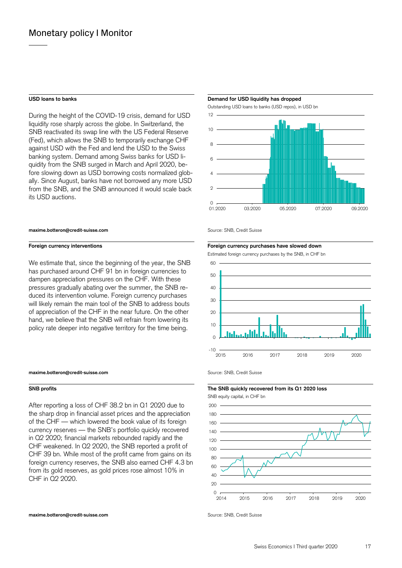During the height of the COVID-19 crisis, demand for USD liquidity rose sharply across the globe. In Switzerland, the SNB reactivated its swap line with the US Federal Reserve (Fed), which allows the SNB to temporarily exchange CHF against USD with the Fed and lend the USD to the Swiss banking system. Demand among Swiss banks for USD liquidity from the SNB surged in March and April 2020, before slowing down as USD borrowing costs normalized globally. Since August, banks have not borrowed any more USD from the SNB, and the SNB announced it would scale back its USD auctions.

#### **maxime.botteron@credit-suisse.com Source: SNB, Credit Suisse**

We estimate that, since the beginning of the year, the SNB has purchased around CHF 91 bn in foreign currencies to dampen appreciation pressures on the CHF. With these pressures gradually abating over the summer, the SNB reduced its intervention volume. Foreign currency purchases will likely remain the main tool of the SNB to address bouts of appreciation of the CHF in the near future. On the other hand, we believe that the SNB will refrain from lowering its policy rate deeper into negative territory for the time being.

#### **maxime.botteron@credit-suisse.com** Source: SNB, Credit Suisse

### **SNB profits The SNB quickly recovered from its Q1 2020 loss**

After reporting a loss of CHF 38.2 bn in Q1 2020 due to the sharp drop in financial asset prices and the appreciation of the CHF — which lowered the book value of its foreign currency reserves — the SNB's portfolio quickly recovered in Q2 2020; financial markets rebounded rapidly and the CHF weakened. In Q2 2020, the SNB reported a profit of CHF 39 bn. While most of the profit came from gains on its foreign currency reserves, the SNB also earned CHF 4.3 bn from its gold reserves, as gold prices rose almost 10% in CHF in Q2 2020.

### **maxime.botteron@credit-suisse.com** Source: SNB, Credit Suisse

#### USD loans to banks **Demand for USD liquidity has dropped USD** loans to banks

Outstanding USD loans to banks (USD repos), in USD bn



#### **Foreign currency interventions Foreign currency purchases have slowed down**

Estimated foreign currency purchases by the SNB, in CHF bn



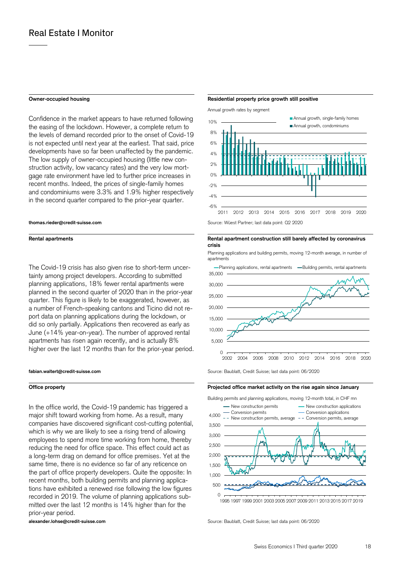Confidence in the market appears to have returned following the easing of the lockdown. However, a complete return to the levels of demand recorded prior to the onset of Covid-19 is not expected until next year at the earliest. That said, price developments have so far been unaffected by the pandemic. The low supply of owner-occupied housing (little new construction activity, low vacancy rates) and the very low mortgage rate environment have led to further price increases in recent months. Indeed, the prices of single-family homes and condominiums were 3.3% and 1.9% higher respectively in the second quarter compared to the prior-year quarter.

The Covid-19 crisis has also given rise to short-term uncertainty among project developers. According to submitted planning applications, 18% fewer rental apartments were planned in the second quarter of 2020 than in the prior-year quarter. This figure is likely to be exaggerated, however, as a number of French-speaking cantons and Ticino did not report data on planning applications during the lockdown, or did so only partially. Applications then recovered as early as June (+14% year-on-year). The number of approved rental apartments has risen again recently, and is actually 8% higher over the last 12 months than for the prior-year period.

In the office world, the Covid-19 pandemic has triggered a major shift toward working from home. As a result, many companies have discovered significant cost-cutting potential, which is why we are likely to see a rising trend of allowing employees to spend more time working from home, thereby reducing the need for office space. This effect could act as a long-term drag on demand for office premises. Yet at the same time, there is no evidence so far of any reticence on the part of office property developers. Quite the opposite: In recent months, both building permits and planning applications have exhibited a renewed rise following the low figures recorded in 2019. The volume of planning applications submitted over the last 12 months is 14% higher than for the prior-year period.

## **Owner-occupied housing the state of the State State and Residential property price growth still positive**

Annual growth rates by segment



**Rental apartments Rental apartment construction still barely affected by coronavirus crisis** 

> Planning applications and building permits, moving 12-month average, in number of apartments



**fabian.waltert@credit-suisse.com** Source: Baublatt, Credit Suisse; last data point: 06/2020

### **Office property Projected office market activity on the rise again since January**



**alexander.lohse@credit-suisse.com** Source: Baublatt, Credit Suisse; last data point: 06/2020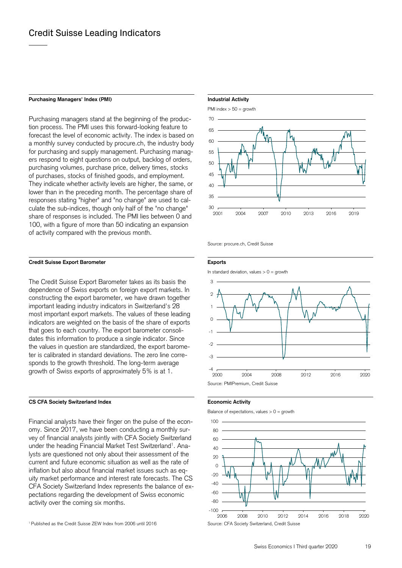## Purchasing Managers' Index (PMI) **Industrial Activity Industrial Activity**

Purchasing managers stand at the beginning of the production process. The PMI uses this forward-looking feature to forecast the level of economic activity. The index is based on a monthly survey conducted by procure.ch, the industry body for purchasing and supply management. Purchasing managers respond to eight questions on output, backlog of orders, purchasing volumes, purchase price, delivery times, stocks of purchases, stocks of finished goods, and employment. They indicate whether activity levels are higher, the same, or lower than in the preceding month. The percentage share of responses stating "higher" and "no change" are used to calculate the sub-indices, though only half of the "no change" share of responses is included. The PMI lies between 0 and 100, with a figure of more than 50 indicating an expansion of activity compared with the previous month.

## **Credit Suisse Export Barometer Exports**

The Credit Suisse Export Barometer takes as its basis the dependence of Swiss exports on foreign export markets. In constructing the export barometer, we have drawn together important leading industry indicators in Switzerland's 28 most important export markets. The values of these leading indicators are weighted on the basis of the share of exports that goes to each country. The export barometer consolidates this information to produce a single indicator. Since the values in question are standardized, the export barometer is calibrated in standard deviations. The zero line corresponds to the growth threshold. The long-term average growth of Swiss exports of approximately 5% is at 1.

## **CS CFA Society Switzerland Index <b>Example 20** Economic Activity

Financial analysts have their finger on the pulse of the economy. Since 2017, we have been conducting a monthly survey of financial analysts jointly with CFA Society Switzerland under the heading Financial Market Test Switzerland<sup>1</sup>. Analysts are questioned not only about their assessment of the current and future economic situation as well as the rate of inflation but also about financial market issues such as equity market performance and interest rate forecasts. The CS CFA Society Switzerland Index represents the balance of expectations regarding the development of Swiss economic activity over the coming six months.



Source: procure.ch, Credit Suisse

In standard deviation, values  $> 0 =$  growth





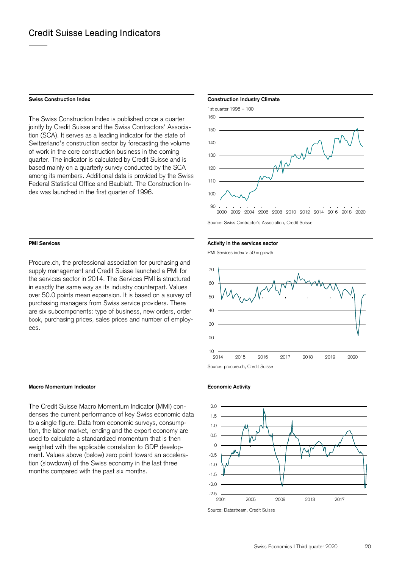The Swiss Construction Index is published once a quarter jointly by Credit Suisse and the Swiss Contractors' Association (SCA). It serves as a leading indicator for the state of Switzerland's construction sector by forecasting the volume of work in the core construction business in the coming quarter. The indicator is calculated by Credit Suisse and is based mainly on a quarterly survey conducted by the SCA among its members. Additional data is provided by the Swiss Federal Statistical Office and Baublatt. The Construction Index was launched in the first quarter of 1996.

Procure.ch, the professional association for purchasing and supply management and Credit Suisse launched a PMI for the services sector in 2014. The Services PMI is structured in exactly the same way as its industry counterpart. Values over 50.0 points mean expansion. It is based on a survey of purchasing managers from Swiss service providers. There are six subcomponents: type of business, new orders, order book, purchasing prices, sales prices and number of employees.

## **Macro Momentum Indicator Macro Momentum Indicator Economic Activity Economic Activity**

The Credit Suisse Macro Momentum Indicator (MMI) condenses the current performance of key Swiss economic data to a single figure. Data from economic surveys, consumption, the labor market, lending and the export economy are used to calculate a standardized momentum that is then weighted with the applicable correlation to GDP development. Values above (below) zero point toward an acceleration (slowdown) of the Swiss economy in the last three months compared with the past six months.

## **Swiss Construction Index Construction Industry Climate Construction Industry Climate**



Source: Swiss Contractor's Association, Credit Suisse

## **PMI Services PMI Services Activity in the services sector PMI Services Activity in the services sector**

PMI Services index > 50 = growth





Source: Datastream, Credit Suisse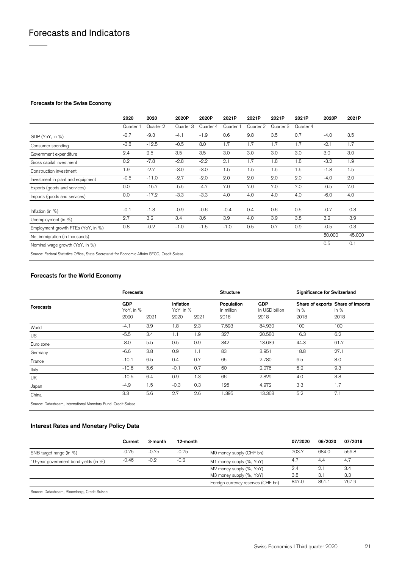## **Forecasts for the Swiss Economy**

|                                                                                               | 2020                 | 2020      | 2020P     | 2020P     | 2021P     | 2021P     | 2021P     | 2021P     | 2020P  | 2021P  |
|-----------------------------------------------------------------------------------------------|----------------------|-----------|-----------|-----------|-----------|-----------|-----------|-----------|--------|--------|
|                                                                                               | Quarter <sup>*</sup> | Quarter 2 | Quarter 3 | Quarter 4 | Quarter 1 | Quarter 2 | Quarter 3 | Quarter 4 |        |        |
| GDP (YoY, in %)                                                                               | $-0.7$               | $-9.3$    | $-4.1$    | $-1.9$    | 0.6       | 9.8       | 3.5       | 0.7       | $-4.0$ | 3.5    |
| Consumer spending                                                                             | $-3.8$               | $-12.5$   | $-0.5$    | 8.0       | 1.7       | 1.7       | 1.7       | 1.7       | $-2.1$ | 1.7    |
| Government expenditure                                                                        | 2.4                  | 2.5       | 3.5       | 3.5       | 3.0       | 3.0       | 3.0       | 3.0       | 3.0    | 3.0    |
| Gross capital investment                                                                      | 0.2                  | $-7.8$    | $-2.8$    | $-2.2$    | 2.1       | 1.7       | 1.8       | 1.8       | $-3.2$ | 1.9    |
| Construction investment                                                                       | 1.9                  | $-2.7$    | $-3.0$    | $-3.0$    | 1.5       | 1.5       | 1.5       | 1.5       | $-1.8$ | 1.5    |
| Investment in plant and equipment                                                             | $-0.6$               | $-11.0$   | $-2.7$    | $-2.0$    | 2.0       | 2.0       | 2.0       | 2.0       | $-4.0$ | 2.0    |
| Exports (goods and services)                                                                  | 0.0                  | $-15.7$   | $-5.5$    | $-4.7$    | 7.0       | 7.0       | 7.0       | 7.0       | $-6.5$ | 7.0    |
| Imports (goods and services)                                                                  | 0.0                  | $-17.2$   | $-3.3$    | $-3.3$    | 4.0       | 4.0       | 4.0       | 4.0       | $-6.0$ | 4.0    |
| Inflation (in %)                                                                              | $-0.1$               | $-1.3$    | $-0.9$    | $-0.6$    | $-0.4$    | 0.4       | 0.6       | 0.5       | $-0.7$ | 0.3    |
| Unemployment (in %)                                                                           | 2.7                  | 3.2       | 3.4       | 3.6       | 3.9       | 4.0       | 3.9       | 3.8       | 3.2    | 3.9    |
| Employment growth FTEs (YoY, in %)                                                            | 0.8                  | $-0.2$    | $-1.0$    | $-1.5$    | $-1.0$    | 0.5       | 0.7       | 0.9       | $-0.5$ | 0.3    |
| Net immigration (in thousands)                                                                |                      |           |           |           |           |           |           |           | 50.000 | 45.000 |
| Nominal wage growth (YoY, in %)                                                               |                      |           |           |           |           |           |           |           | 0.5    | 0.1    |
| Source: Federal Statistics Office, State Secretariat for Economic Affairs SECO, Credit Suisse |                      |           |           |           |           |           |           |           |        |        |

## **Forecasts for the World Economy**

|                             | <b>Forecasts</b> |           |        |                        | Structure                |                              |        | <b>Significance for Switzerland</b>         |  |
|-----------------------------|------------------|-----------|--------|------------------------|--------------------------|------------------------------|--------|---------------------------------------------|--|
| Forecasts                   | <b>GDP</b>       | YoY, in % |        | Inflation<br>YoY, in % | Population<br>In million | <b>GDP</b><br>In USD billion | In $%$ | Share of exports Share of imports<br>In $%$ |  |
|                             | 2020             | 2021      | 2020   | 2021                   | 2018                     | 2018                         | 2018   | 2018                                        |  |
| World                       | $-4.1$           | 3.9       | 1.8    | 2.3                    | 7.593                    | 84.930                       | 100    | 100                                         |  |
| <b>US</b>                   | $-5.5$           | 3.4       | 1.1    | 1.9                    | 327                      | 20.580                       | 16.3   | 6.2                                         |  |
| Euro zone                   | $-8.0$           | 5.5       | 0.5    | 0.9                    | 342                      | 13.639                       | 44.3   | 61.7                                        |  |
| Germany                     | $-6.6$           | 3.8       | 0.9    | 1.1                    | 83                       | 3.951                        | 18.8   | 27.1                                        |  |
| France                      | $-10.1$          | 6.5       | 0.4    | 0.7                    | 65                       | 2.780                        | 6.5    | 8.0                                         |  |
| Italy                       | $-10.6$          | 5.6       | $-0.1$ | 0.7                    | 60                       | 2.076                        | 6.2    | 9.3                                         |  |
| UK                          | $-10.5$          | 6.4       | 0.9    | 1.3                    | 66                       | 2.829                        | 4.0    | 3.8                                         |  |
| Japan                       | $-4.9$           | 1.5       | $-0.3$ | 0.3                    | 126                      | 4.972                        | 3.3    | 1.7                                         |  |
| China                       | 3.3              | 5.6       | 2.7    | 2.6                    | 1.395                    | 13.368                       | 5.2    | 7.1                                         |  |
| $\sim$ $\sim$ $\sim$ $\sim$ |                  |           |        |                        |                          |                              |        |                                             |  |

Source: Datastream, International Monetary Fund, Credit Suisse

# **Interest Rates and Monetary Policy Data**

|                                                                  | Current | 3-month | 12-month |                                    | 07/2020 | 06/2020 | 07/2019 |
|------------------------------------------------------------------|---------|---------|----------|------------------------------------|---------|---------|---------|
| SNB target range (in %)                                          | $-0.75$ | $-0.75$ | $-0.75$  | MO money supply (CHF bn)           | 703.7   | 684.0   | 556.8   |
| 10-year government bond yields (in %)                            | $-0.46$ | $-0.2$  | $-0.2$   | M1 money supply (%, YoY)           | 4.7     | 4.4     | 4.7     |
|                                                                  |         |         |          | M2 money supply (%, YoY)           | 2.4     | 2.1     | 3.4     |
|                                                                  |         |         |          | M3 money supply (%, YoY)           | 3.8     | 3.1     | 3.3     |
|                                                                  |         |         |          | Foreign currency reserves (CHF bn) | 847.0   | 851.1   | 767.9   |
| $\sim$ $\sim$ $\sim$<br>$\sim$<br>$\sim$ $\sim$ $\sim$<br>$\sim$ |         |         |          |                                    |         |         |         |

Source: Datastream, Bloomberg, Credit Suisse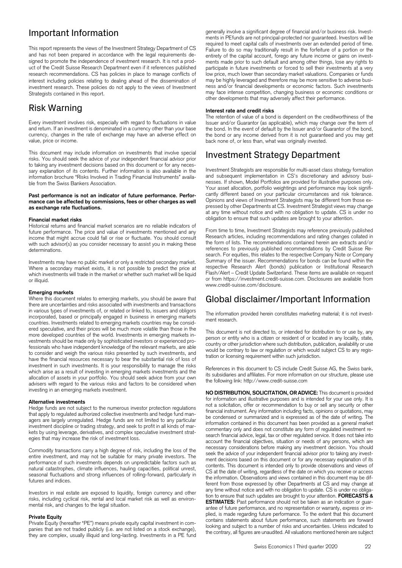# Important Information

This report represents the views of the Investment Strategy Department of CS and has not been prepared in accordance with the legal requirements designed to promote the independence of investment research. It is not a product of the Credit Suisse Research Department even if it references published research recommendations. CS has policies in place to manage conflicts of interest including policies relating to dealing ahead of the dissemination of investment research. These policies do not apply to the views of Investment Strategists contained in this report.

# Risk Warning

Every investment involves risk, especially with regard to fluctuations in value and return. If an investment is denominated in a currency other than your base currency, changes in the rate of exchange may have an adverse effect on value, price or income.

This document may include information on investments that involve special risks. You should seek the advice of your independent financial advisor prior to taking any investment decisions based on this document or for any necessary explanation of its contents. Further information is also available in the information brochure "Risks Involved in Trading Financial Instruments" available from the Swiss Bankers Association.

#### **Past performance is not an indicator of future performance. Performance can be affected by commissions, fees or other charges as well as exchange rate fluctuations.**

## **Financial market risks**

Historical returns and financial market scenarios are no reliable indicators of future performance. The price and value of investments mentioned and any income that might accrue could fall or rise or fluctuate. You should consult with such advisor(s) as you consider necessary to assist you in making these determinations.

Investments may have no public market or only a restricted secondary market. Where a secondary market exists, it is not possible to predict the price at which investments will trade in the market or whether such market will be liquid or illiquid.

#### **Emerging markets**

Where this document relates to emerging markets, you should be aware that there are uncertainties and risks associated with investments and transactions in various types of investments of, or related or linked to, issuers and obligors incorporated, based or principally engaged in business in emerging markets countries. Investments related to emerging markets countries may be considered speculative, and their prices will be much more volatile than those in the more developed countries of the world. Investments in emerging markets investments should be made only by sophisticated investors or experienced professionals who have independent knowledge of the relevant markets, are able to consider and weigh the various risks presented by such investments, and have the financial resources necessary to bear the substantial risk of loss of investment in such investments. It is your responsibility to manage the risks which arise as a result of investing in emerging markets investments and the allocation of assets in your portfolio. You should seek advice from your own advisers with regard to the various risks and factors to be considered when investing in an emerging markets investment.

### **Alternative investments**

Hedge funds are not subject to the numerous investor protection regulations that apply to regulated authorized collective investments and hedge fund managers are largely unregulated. Hedge funds are not limited to any particular investment discipline or trading strategy, and seek to profit in all kinds of markets by using leverage, derivatives, and complex speculative investment strategies that may increase the risk of investment loss.

Commodity transactions carry a high degree of risk, including the loss of the entire investment, and may not be suitable for many private investors. The performance of such investments depends on unpredictable factors such as natural catastrophes, climate influences, hauling capacities, political unrest, seasonal fluctuations and strong influences of rolling-forward, particularly in futures and indices.

Investors in real estate are exposed to liquidity, foreign currency and other risks, including cyclical risk, rental and local market risk as well as environmental risk, and changes to the legal situation.

## **Private Equity**

Private Equity (hereafter "PE") means private equity capital investment in companies that are not traded publicly (i.e. are not listed on a stock exchange), they are complex, usually illiquid and long-lasting. Investments in a PE fund generally involve a significant degree of financial and/or business risk. Investments in PEfunds are not principal-protected nor guaranteed. Investors will be required to meet capital calls of investments over an extended period of time. Failure to do so may traditionally result in the forfeiture of a portion or the entirety of the capital account, forego any future income or gains on investments made prior to such default and among other things, lose any rights to participate in future investments or forced to sell their investments at a very low price, much lower than secondary market valuations. Companies or funds may be highly leveraged and therefore may be more sensitive to adverse business and/or financial developments or economic factors. Such investments may face intense competition, changing business or economic conditions or other developments that may adversely affect their performance.

### **Interest rate and credit risks**

The retention of value of a bond is dependent on the creditworthiness of the Issuer and/or Guarantor (as applicable), which may change over the term of the bond. In the event of default by the Issuer and/or Guarantor of the bond, the bond or any income derived from it is not guaranteed and you may get back none of, or less than, what was originally invested.

# Investment Strategy Department

Investment Strategists are responsible for multi-asset class strategy formation and subsequent implementation in CS's discretionary and advisory businesses. If shown, Model Portfolios are provided for illustrative purposes only. Your asset allocation, portfolio weightings and performance may look significantly different based on your particular circumstances and risk tolerance. Opinions and views of Investment Strategists may be different from those expressed by other Departments at CS. Investment Strategist views may change at any time without notice and with no obligation to update. CS is under no obligation to ensure that such updates are brought to your attention.

From time to time, Investment Strategists may reference previously published Research articles, including recommendations and rating changes collated in the form of lists. The recommendations contained herein are extracts and/or references to previously published recommendations by Credit Suisse Research. For equities, this relates to the respective Company Note or Company Summary of the issuer. Recommendations for bonds can be found within the respective Research Alert (bonds) publication or Institutional Research Flash/Alert – Credit Update Switzerland. These items are available on request or from https://investment.credit-suisse.com. Disclosures are available from www.credit-suisse.com/disclosure.

# Global disclaimer/Important Information

The information provided herein constitutes marketing material; it is not investment research.

This document is not directed to, or intended for distribution to or use by, any person or entity who is a citizen or resident of or located in any locality, state, country or other jurisdiction where such distribution, publication, availability or use would be contrary to law or regulation or which would subject CS to any registration or licensing requirement within such jurisdiction.

References in this document to CS include Credit Suisse AG, the Swiss bank, its subsidiaries and affiliates. For more information on our structure, please use the following link: http://www.credit-suisse.com

**NO DISTRIBUTION, SOLICITATION, OR ADVICE:** This document is provided for information and illustrative purposes and is intended for your use only. It is not a solicitation, offer or recommendation to buy or sell any security or other financial instrument. Any information including facts, opinions or quotations, may be condensed or summarized and is expressed as of the date of writing. The information contained in this document has been provided as a general market commentary only and does not constitute any form of regulated investment research financial advice, legal, tax or other regulated service. It does not take into account the financial objectives, situation or needs of any persons, which are necessary considerations before making any investment decision. You should seek the advice of your independent financial advisor prior to taking any investment decisions based on this document or for any necessary explanation of its contents. This document is intended only to provide observations and views of CS at the date of writing, regardless of the date on which you receive or access the information. Observations and views contained in this document may be different from those expressed by other Departments at CS and may change at any time without notice and with no obligation to update. CS is under no obligation to ensure that such updates are brought to your attention. **FORECASTS & ESTIMATES:** Past performance should not be taken as an indication or quarantee of future performance, and no representation or warranty, express or implied, is made regarding future performance. To the extent that this document contains statements about future performance, such statements are forward looking and subject to a number of risks and uncertainties. Unless indicated to the contrary, all figures are unaudited. All valuations mentioned herein are subject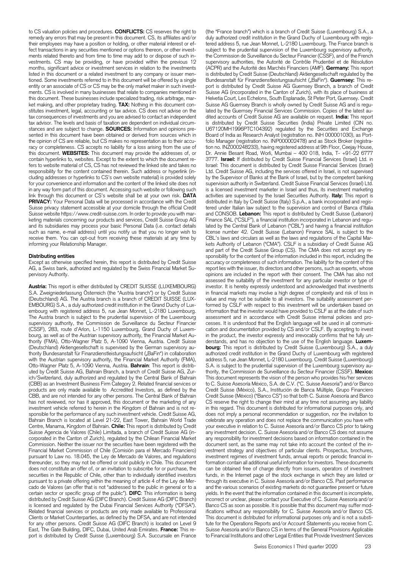to CS valuation policies and procedures. **CONFLICTS:** CS reserves the right to remedy any errors that may be present in this document. CS, its affiliates and/or their employees may have a position or holding, or other material interest or effect transactions in any securities mentioned or options thereon, or other investments related thereto and from time to time may add to or dispose of such investments. CS may be providing, or have provided within the previous 12 months, significant advice or investment services in relation to the investments listed in this document or a related investment to any company or issuer mentioned. Some investments referred to in this document will be offered by a single entity or an associate of CS or CS may be the only market maker in such investments. CS is involved in many businesses that relate to companies mentioned in this document. These businesses include specialized trading, risk arbitrage, market making, and other proprietary trading. **TAX:** Nothing in this document constitutes investment, legal, accounting or tax advice. CS does not advise on the tax consequences of investments and you are advised to contact an independent tax advisor. The levels and basis of taxation are dependent on individual circumstances and are subject to change. **SOURCES:** Information and opinions presented in this document have been obtained or derived from sources which in the opinion of CS are reliable, but CS makes no representation as to their accuracy or completeness. CS accepts no liability for a loss arising from the use of this document. **WEBSITES:** This document may provide the addresses of, or contain hyperlinks to, websites. Except to the extent to which the document refers to website material of CS, CS has not reviewed the linked site and takes no responsibility for the content contained therein. Such address or hyperlink (including addresses or hyperlinks to CS's own website material) is provided solely for your convenience and information and the content of the linked site does not in any way form part of this document. Accessing such website or following such link through this document or CS's website shall be at your own risk. **DATA** PRIVACY: Your Personal Data will be processed in accordance with the Credit Suisse privacy statement accessible at your domicile through the official Credit Suisse website https://www.credit-suisse.com. In order to provide you with marketing materials concerning our products and services, Credit Suisse Group AG and its subsidiaries may process your basic Personal Data (i.e. contact details such as name, e-mail address) until you notify us that you no longer wish to receive them. You can opt-out from receiving these materials at any time by informing your Relationship Manager.

### **Distributing entities**

Except as otherwise specified herein, this report is distributed by Credit Suisse AG, a Swiss bank, authorized and regulated by the Swiss Financial Market Supervisory Authority.

**Austria:** This report is either distributed by CREDIT SUISSE (LUXEMBOURG) S.A. Zweigniederlassung Österreich (the "Austria branch") or by Credit Suisse (Deutschland) AG. The Austria branch is a branch of CREDIT SUISSE (LUX-EMBOURG) S.A., a duly authorized credit institution in the Grand Duchy of Luxembourg with registered address 5, rue Jean Monnet, L-2180 Luxembourg. The Austria branch is subject to the prudential supervision of the Luxembourg supervisory authority, the Commission de Surveillance du Secteur Financier (CSSF), 283, route d'Arlon, L-1150 Luxembourg, Grand Duchy of Luxembourg, as well as of the Austrian supervisory authority, the Financial Market Authority (FMA), Otto-Wagner Platz 5, A-1090 Vienna, Austria. Credit Suisse (Deutschland) Aktiengesellschaft is supervised by the German supervisory authority Bundesanstalt für Finanzdienstleistungsaufsicht ("BaFin") in collaboration with the Austrian supervisory authority, the Financial Market Authority (FMA), Otto-Wagner Platz 5, A-1090 Vienna, Austria. **Bahrain**: This report is distributed by Credit Suisse AG, Bahrain Branch, a branch of Credit Suisse AG, Zurich/Switzerland, duly authorized and regulated by the Central Bank of Bahrain (CBB) as an Investment Business Firm Category 2. Related financial services or products are only made available to Accredited Investors, as defined by the CBB, and are not intended for any other persons. The Central Bank of Bahrain has not reviewed, nor has it approved, this document or the marketing of any investment vehicle referred to herein in the Kingdom of Bahrain and is not responsible for the performance of any such investment vehicle. Credit Suisse AG, Bahrain Branch is located at Level 21-22, East Tower, Bahrain World Trade Centre, Manama, Kingdom of Bahrain. **Chile:** This report is distributed by Credit Suisse Agencia de Valores (Chile) Limitada, a branch of Credit Suisse AG (incorporated in the Canton of Zurich), regulated by the Chilean Financial Market Commission. Neither the issuer nor the securities have been registered with the Financial Market Commission of Chile (Comisión para el Mercado Financiero) pursuant to Law no. 18.045, the Ley de Mercado de Valores, and regulations thereunder, so they may not be offered or sold publicly in Chile. This document does not constitute an offer of, or an invitation to subscribe for or purchase, the securities in the Republic of Chile, other than to individually identified investors pursuant to a private offering within the meaning of article 4 of the Ley de Mercado de Valores (an offer that is not "addressed to the public in general or to a certain sector or specific group of the public"). **DIFC**: This information is being distributed by Credit Suisse AG (DIFC Branch). Credit Suisse AG (DIFC Branch) is licensed and regulated by the Dubai Financial Services Authority ("DFSA"). Related financial services or products are only made available to Professional Clients or Market Counterparties, as defined by the DFSA, and are not intended for any other persons. Credit Suisse AG (DIFC Branch) is located on Level 9 East, The Gate Building, DIFC, Dubai, United Arab Emirates. **France:** This report is distributed by Credit Suisse (Luxembourg) S.A. Succursale en France

(the "France branch") which is a branch of Credit Suisse (Luxembourg) S.A., a duly authorized credit institution in the Grand Duchy of Luxembourg with registered address 5, rue Jean Monnet, L-2180 Luxembourg. The France branch is subject to the prudential supervision of the Luxembourg supervisory authority, the Commission de Surveillance du Secteur Financier (CSSF), and of the French supervisory authorities, the Autorité de Contrôle Prudentiel et de Résolution (ACPR) and the Autorité des Marchés Financiers (AMF). **Germany:** This report is distributed by Credit Suisse (Deutschland) Aktiengesellschaft regulated by the Bundesanstalt für Finanzdienstleistungsaufsicht ("BaFin"). **Guernsey:** This report is distributed by Credit Suisse AG Guernsey Branch, a branch of Credit Suisse AG (incorporated in the Canton of Zurich), with its place of business at Helvetia Court, Les Echelons, South Esplanade, St Peter Port, Guernsey. Credit Suisse AG Guernsey Branch is wholly owned by Credit Suisse AG and is regulated by the Guernsey Financial Services Commission. Copies of the latest audited accounts of Credit Suisse AG are available on request. **India:** This report is distributed by Credit Suisse Securities (India) Private Limited (CIN no. U67120MH1996PTC104392) regulated by the Securities and Exchange Board of India as Research Analyst (registration no. INH 000001030), as Portfolio Manager (registration no. INP000002478) and as Stock Broker (registration no. INZ000248233), having registered address at 9th Floor, Ceejay House, Dr. Annie Besant Road, Worli, Mumbai – 400 018, India, T- +91-22 6777 3777. **Israel:** If distributed by Credit Suisse Financial Services (Israel) Ltd. in Israel: This document is distributed by Credit Suisse Financial Services (Israel) Ltd. Credit Suisse AG, including the services offered in Israel, is not supervised by the Supervisor of Banks at the Bank of Israel, but by the competent banking supervision authority in Switzerland. Credit Suisse Financial Services (Israel) Ltd. is a licensed investment marketer in Israel and thus, its investment marketing activities are supervised by the Israel Securities Authority. **Italy:** This report is distributed in Italy by Credit Suisse (Italy) S.p.A., a bank incorporated and registered under Italian law subject to the supervision and control of Banca d'Italia and CONSOB. **Lebanon:** This report is distributed by Credit Suisse (Lebanon) Finance SAL ("CSLF"), a financial institution incorporated in Lebanon and regulated by the Central Bank of Lebanon ("CBL") and having a financial institution license number 42. Credit Suisse (Lebanon) Finance SAL is subject to the CBL's laws and circulars as well as the laws and regulations of the Capital Markets Authority of Lebanon ("CMA"). CSLF is a subsidiary of Credit Suisse AG and part of the Credit Suisse Group (CS). The CMA does not accept any responsibility for the content of the information included in this report, including the accuracy or completeness of such information. The liability for the content of this report lies with the issuer, its directors and other persons, such as experts, whose opinions are included in the report with their consent. The CMA has also not assessed the suitability of the investment for any particular investor or type of investor. It is hereby expressly understood and acknowledged that investments in financial markets may involve a high degree of complexity and risk of loss in value and may not be suitable to all investors. The suitability assessment performed by CSLF with respect to this investment will be undertaken based on information that the investor would have provided to CSLF as at the date of such assessment and in accordance with Credit Suisse internal policies and processes. It is understood that the English language will be used in all communication and documentation provided by CS and/or CSLF. By accepting to invest in the product, the investor expressly and irrevocably confirms that he fully understands, and has no objection to the use of the English language. **Luxembourg:** This report is distributed by Credit Suisse (Luxembourg) S.A., a duly authorized credit institution in the Grand Duchy of Luxembourg with registered address 5, rue Jean Monnet, L-2180 Luxembourg. Credit Suisse (Luxembourg) S.A. is subject to the prudential supervision of the Luxembourg supervisory authority, the Commission de Surveillance du Secteur Financier (CSSF). **Mexico:**  This document represents the vision of the person who provides his/her services to C. Suisse Asesoría México, S.A. de C.V. ("C. Suisse Asesoría") and/or Banco Credit Suisse (México), S.A., Institución de Banca Múltiple, Grupo Financiero Credit Suisse (México) ("Banco CS") so that both C. Suisse Asesoría and Banco CS reserve the right to change their mind at any time not assuming any liability in this regard. This document is distributed for informational purposes only, and does not imply a personal recommendation or suggestion, nor the invitation to celebrate any operation and does not replace the communication you have with your executive in relation to C. Suisse Asesoría and/or Banco CS prior to taking any investment decision. C. Suisse Asesoría and/or Banco CS does not assume any responsibility for investment decisions based on information contained in the document sent, as the same may not take into account the context of the investment strategy and objectives of particular clients. Prospectus, brochures, investment regimes of investment funds, annual reports or periodic financial information contain all additional useful information for investors. These documents can be obtained free of charge directly from issuers, operators of investment funds, in the Internet page of the stock exchange in which they are listed or through its executive in C. Suisse Asesoría and/or Banco CS. Past performance and the various scenarios of existing markets do not guarantee present or future yields. In the event that the information contained in this document is incomplete, incorrect or unclear, please contact your Executive of C. Suisse Asesoría and/or Banco CS as soon as possible. It is possible that this document may suffer modifications without any responsibility for C. Suisse Asesoría and/or Banco CS. This document is distributed for informational purposes only and is not a substitute for the Operations Reports and/or Account Statements you receive from C. Suisse Asesoría and/or Banco CS in terms of the General Provisions Applicable to Financial Institutions and other Legal Entities that Provide Investment Services